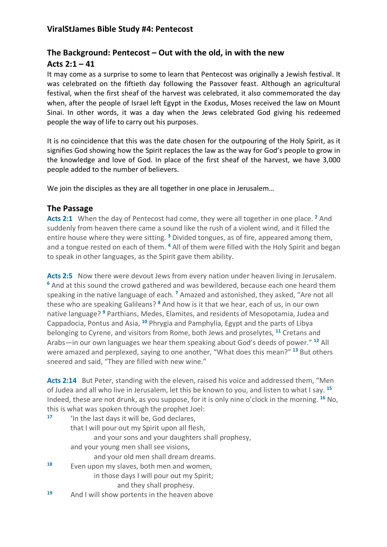# **The Background: Pentecost – Out with the old, in with the new Acts 2:1 – 41**

It may come as a surprise to some to learn that Pentecost was originally a Jewish festival. It was celebrated on the fiftieth day following the Passover feast. Although an agricultural festival, when the first sheaf of the harvest was celebrated, it also commemorated the day when, after the people of Israel left Egypt in the Exodus, Moses received the law on Mount Sinai. In other words, it was a day when the Jews celebrated God giving his redeemed people the way of life to carry out his purposes.

It is no coincidence that this was the date chosen for the outpouring of the Holy Spirit, as it signifies God showing how the Spirit replaces the law as the way for God's people to grow in the knowledge and love of God. In place of the first sheaf of the harvest, we have 3,000 people added to the number of believers.

We join the disciples as they are all together in one place in Jerusalem…

#### **The Passage**

**Acts 2:1** When the day of Pentecost had come, they were all together in one place. **<sup>2</sup>** And suddenly from heaven there came a sound like the rush of a violent wind, and it filled the entire house where they were sitting. **<sup>3</sup>** Divided tongues, as of fire, appeared among them, and a tongue rested on each of them. **<sup>4</sup>** All of them were filled with the Holy Spirit and began to speak in other languages, as the Spirit gave them ability.

Acts 2:5 Now there were devout Jews from every nation under heaven living in Jerusalem. **<sup>6</sup>** And at this sound the crowd gathered and was bewildered, because each one heard them speaking in the native language of each. **<sup>7</sup>** Amazed and astonished, they asked, "Are not all these who are speaking Galileans? **<sup>8</sup>** And how is it that we hear, each of us, in our own native language? **<sup>9</sup>** Parthians, Medes, Elamites, and residents of Mesopotamia, Judea and Cappadocia, Pontus and Asia, **<sup>10</sup>** Phrygia and Pamphylia, Egypt and the parts of Libya belonging to Cyrene, and visitors from Rome, both Jews and proselytes, **<sup>11</sup>** Cretans and Arabs—in our own languages we hear them speaking about God's deeds of power." **<sup>12</sup>** All were amazed and perplexed, saying to one another, "What does this mean?" **<sup>13</sup>** But others sneered and said, "They are filled with new wine."

**Acts 2:14** But Peter, standing with the eleven, raised his voice and addressed them, "Men of Judea and all who live in Jerusalem, let this be known to you, and listen to what I say. **<sup>15</sup>** Indeed, these are not drunk, as you suppose, for it is only nine o'clock in the morning. **<sup>16</sup>** No, this is what was spoken through the prophet Joel:

| 17 | 'In the last days it will be, God declares,      |
|----|--------------------------------------------------|
|    | that I will pour out my Spirit upon all flesh,   |
|    | and your sons and your daughters shall prophesy, |
|    | and your young men shall see visions,            |
|    | and your old men shall dream dreams.             |
| 18 | Even upon my slaves, both men and women,         |
|    | in those days I will pour out my Spirit;         |
|    | and they shall prophesy.                         |
| 19 | And I will show portents in the heaven above     |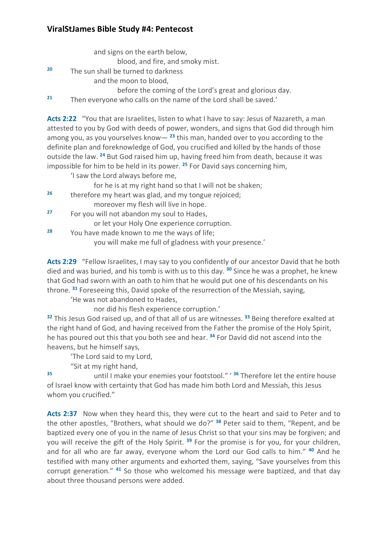## **ViralStJames Bible Study #4: Pentecost**

|    | and signs on the earth below,                                                                                                                                                        |
|----|--------------------------------------------------------------------------------------------------------------------------------------------------------------------------------------|
|    | blood, and fire, and smoky mist.                                                                                                                                                     |
| 20 | The sun shall be turned to darkness                                                                                                                                                  |
|    | and the moon to blood,                                                                                                                                                               |
|    | before the coming of the Lord's great and glorious day.                                                                                                                              |
| 21 | Then everyone who calls on the name of the Lord shall be saved.'                                                                                                                     |
|    | Acts 2:22 "You that are Israelites, listen to what I have to say: Jesus of Nazareth, a man<br>attested to you by God with deeds of power, wonders, and signs that God did through hi |

through him among you, as you yourselves know— **<sup>23</sup>** this man, handed over to you according to the definite plan and foreknowledge of God, you crucified and killed by the hands of those outside the law. **<sup>24</sup>** But God raised him up, having freed him from death, because it was impossible for him to be held in its power. **<sup>25</sup>** For David says concerning him,

'I saw the Lord always before me,

for he is at my right hand so that I will not be shaken;

- **<sup>26</sup>** therefore my heart was glad, and my tongue rejoiced; moreover my flesh will live in hope.
- **<sup>27</sup>** For you will not abandon my soul to Hades,

or let your Holy One experience corruption.

**<sup>28</sup>** You have made known to me the ways of life; you will make me full of gladness with your presence.'

**Acts 2:29** "Fellow Israelites, I may say to you confidently of our ancestor David that he both died and was buried, and his tomb is with us to this day. **<sup>30</sup>** Since he was a prophet, he knew that God had sworn with an oath to him that he would put one of his descendants on his throne. **<sup>31</sup>** Foreseeing this, David spoke of the resurrection of the Messiah, saying,

'He was not abandoned to Hades,

nor did his flesh experience corruption.'

**<sup>32</sup>** This Jesus God raised up, and of that all of us are witnesses. **<sup>33</sup>** Being therefore exalted at the right hand of God, and having received from the Father the promise of the Holy Spirit, he has poured out this that you both see and hear. **<sup>34</sup>** For David did not ascend into the heavens, but he himself says,

'The Lord said to my Lord,

"Sit at my right hand,

**<sup>35</sup>** until I make your enemies your footstool." ' **<sup>36</sup>** Therefore let the entire house of Israel know with certainty that God has made him both Lord and Messiah, this Jesus whom you crucified."

Acts 2:37 Now when they heard this, they were cut to the heart and said to Peter and to the other apostles, "Brothers, what should we do?" **<sup>38</sup>** Peter said to them, "Repent, and be baptized every one of you in the name of Jesus Christ so that your sins may be forgiven; and you will receive the gift of the Holy Spirit. **<sup>39</sup>** For the promise is for you, for your children, and for all who are far away, everyone whom the Lord our God calls to him." **<sup>40</sup>** And he testified with many other arguments and exhorted them, saying, "Save yourselves from this corrupt generation." **<sup>41</sup>** So those who welcomed his message were baptized, and that day about three thousand persons were added.